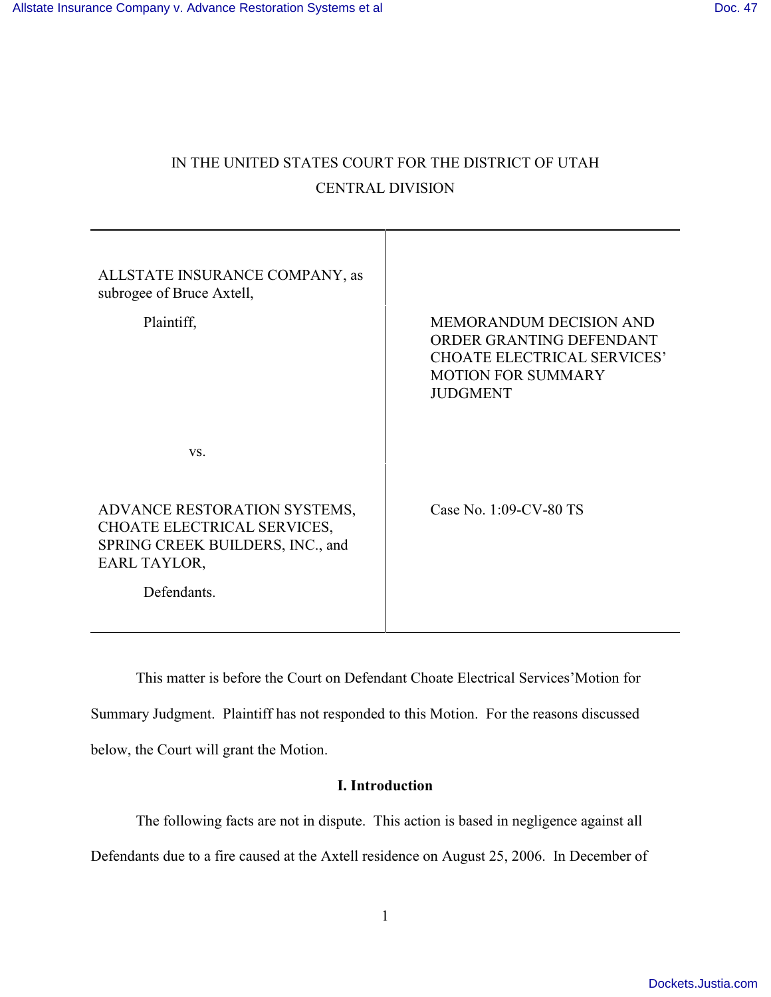# IN THE UNITED STATES COURT FOR THE DISTRICT OF UTAH CENTRAL DIVISION

| ALLSTATE INSURANCE COMPANY, as<br>subrogee of Bruce Axtell,                                                                    |                                                                                                                                                  |
|--------------------------------------------------------------------------------------------------------------------------------|--------------------------------------------------------------------------------------------------------------------------------------------------|
| Plaintiff,                                                                                                                     | <b>MEMORANDUM DECISION AND</b><br>ORDER GRANTING DEFENDANT<br><b>CHOATE ELECTRICAL SERVICES'</b><br><b>MOTION FOR SUMMARY</b><br><b>JUDGMENT</b> |
| VS.                                                                                                                            |                                                                                                                                                  |
| ADVANCE RESTORATION SYSTEMS,<br>CHOATE ELECTRICAL SERVICES,<br>SPRING CREEK BUILDERS, INC., and<br>EARL TAYLOR,<br>Defendants. | Case No. 1:09-CV-80 TS                                                                                                                           |
|                                                                                                                                |                                                                                                                                                  |

This matter is before the Court on Defendant Choate Electrical Services'Motion for Summary Judgment. Plaintiff has not responded to this Motion. For the reasons discussed below, the Court will grant the Motion.

## **I. Introduction**

The following facts are not in dispute. This action is based in negligence against all

Defendants due to a fire caused at the Axtell residence on August 25, 2006. In December of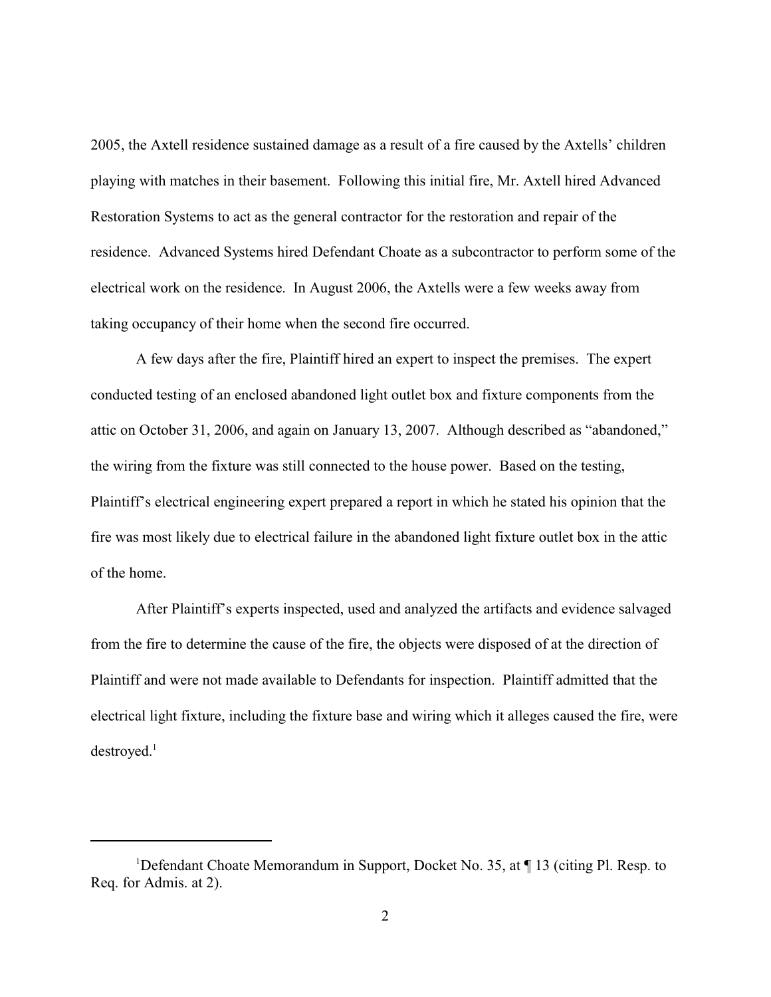2005, the Axtell residence sustained damage as a result of a fire caused by the Axtells' children playing with matches in their basement. Following this initial fire, Mr. Axtell hired Advanced Restoration Systems to act as the general contractor for the restoration and repair of the residence. Advanced Systems hired Defendant Choate as a subcontractor to perform some of the electrical work on the residence. In August 2006, the Axtells were a few weeks away from taking occupancy of their home when the second fire occurred.

A few days after the fire, Plaintiff hired an expert to inspect the premises. The expert conducted testing of an enclosed abandoned light outlet box and fixture components from the attic on October 31, 2006, and again on January 13, 2007. Although described as "abandoned," the wiring from the fixture was still connected to the house power. Based on the testing, Plaintiff's electrical engineering expert prepared a report in which he stated his opinion that the fire was most likely due to electrical failure in the abandoned light fixture outlet box in the attic of the home.

After Plaintiff's experts inspected, used and analyzed the artifacts and evidence salvaged from the fire to determine the cause of the fire, the objects were disposed of at the direction of Plaintiff and were not made available to Defendants for inspection. Plaintiff admitted that the electrical light fixture, including the fixture base and wiring which it alleges caused the fire, were  $destroved.<sup>1</sup>$ 

<sup>&</sup>lt;sup>1</sup>Defendant Choate Memorandum in Support, Docket No. 35, at  $\P$  13 (citing Pl. Resp. to Req. for Admis. at 2).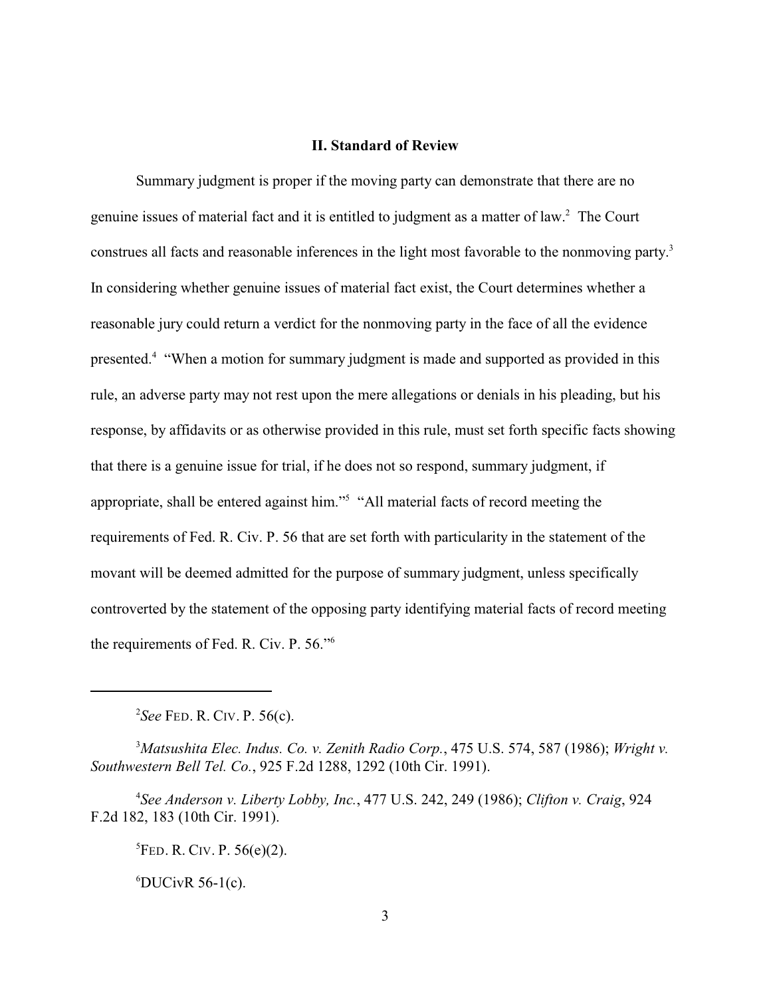#### **II. Standard of Review**

Summary judgment is proper if the moving party can demonstrate that there are no genuine issues of material fact and it is entitled to judgment as a matter of law.<sup>2</sup> The Court construes all facts and reasonable inferences in the light most favorable to the nonmoving party.<sup>3</sup> In considering whether genuine issues of material fact exist, the Court determines whether a reasonable jury could return a verdict for the nonmoving party in the face of all the evidence presented. "When a motion for summary judgment is made and supported as provided in this <sup>4</sup> rule, an adverse party may not rest upon the mere allegations or denials in his pleading, but his response, by affidavits or as otherwise provided in this rule, must set forth specific facts showing that there is a genuine issue for trial, if he does not so respond, summary judgment, if appropriate, shall be entered against him."<sup>5</sup> "All material facts of record meeting the requirements of Fed. R. Civ. P. 56 that are set forth with particularity in the statement of the movant will be deemed admitted for the purpose of summary judgment, unless specifically controverted by the statement of the opposing party identifying material facts of record meeting the requirements of Fed. R. Civ. P. 56."<sup>6</sup>

*See* FED. R. CIV. P. 56(c). <sup>2</sup>

*Matsushita Elec. Indus. Co. v. Zenith Radio Corp.*, 475 U.S. 574, 587 (1986); *Wright v.* <sup>3</sup> *Southwestern Bell Tel. Co.*, 925 F.2d 1288, 1292 (10th Cir. 1991).

*See Anderson v. Liberty Lobby, Inc.*, 477 U.S. 242, 249 (1986); *Clifton v. Craig*, 924 <sup>4</sup> F.2d 182, 183 (10th Cir. 1991).

 ${}^{5}$ FED. R. CIV. P. 56(e)(2).

 ${}^6$ DUCivR 56-1(c).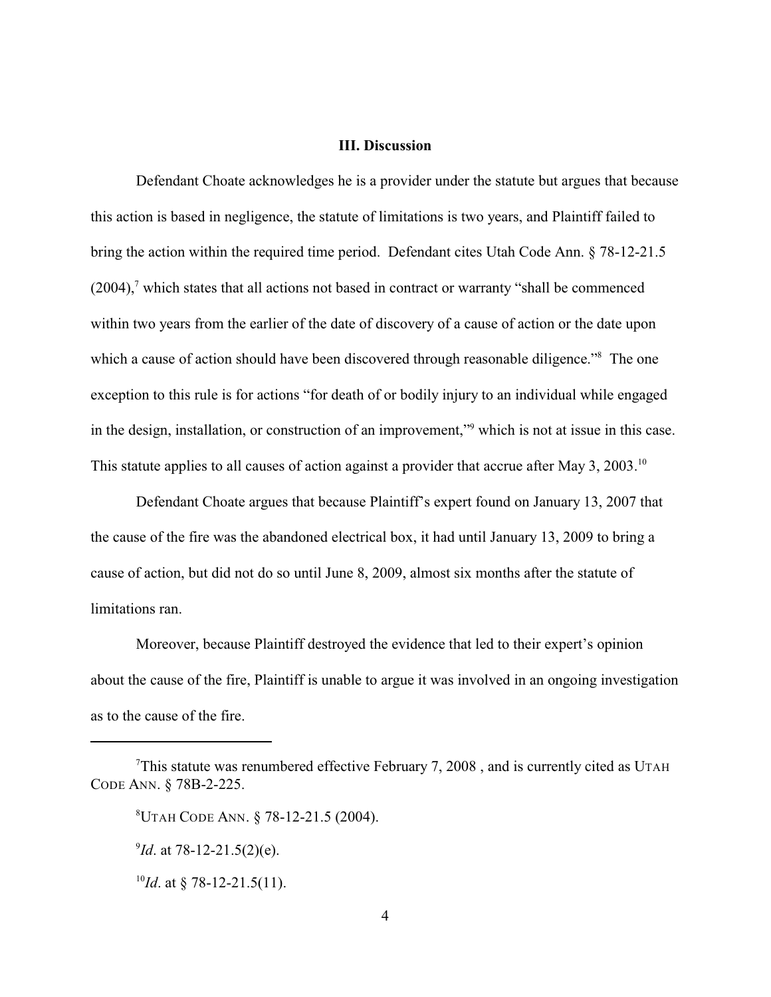#### **III. Discussion**

Defendant Choate acknowledges he is a provider under the statute but argues that because this action is based in negligence, the statute of limitations is two years, and Plaintiff failed to bring the action within the required time period. Defendant cites Utah Code Ann. § 78-12-21.5  $(2004)$ , which states that all actions not based in contract or warranty "shall be commenced within two years from the earlier of the date of discovery of a cause of action or the date upon which a cause of action should have been discovered through reasonable diligence."<sup>8</sup> The one exception to this rule is for actions "for death of or bodily injury to an individual while engaged in the design, installation, or construction of an improvement," which is not at issue in this case. This statute applies to all causes of action against a provider that accrue after May 3, 2003.<sup>10</sup>

Defendant Choate argues that because Plaintiff's expert found on January 13, 2007 that the cause of the fire was the abandoned electrical box, it had until January 13, 2009 to bring a cause of action, but did not do so until June 8, 2009, almost six months after the statute of limitations ran.

Moreover, because Plaintiff destroyed the evidence that led to their expert's opinion about the cause of the fire, Plaintiff is unable to argue it was involved in an ongoing investigation as to the cause of the fire.

 $7$ This statute was renumbered effective February 7, 2008, and is currently cited as UTAH CODE ANN. § 78B-2-225.

UTAH CODE ANN. § 78-12-21.5 (2004). <sup>8</sup>

 $^{9}$ *Id*. at 78-12-21.5(2)(e).

<sup>&</sup>lt;sup>10</sup>*Id*. at § 78-12-21.5(11).